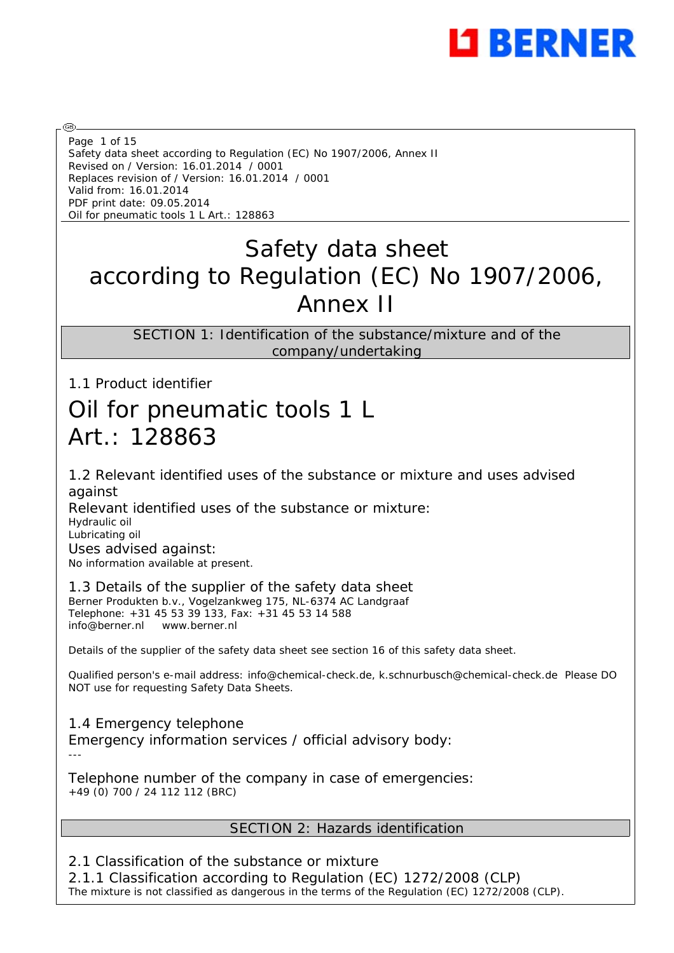

Safety data sheet according to Regulation (EC) No 1907/2006, Annex II Revised on / Version: 16.01.2014 / 0001 Replaces revision of / Version: 16.01.2014 / 0001 Valid from: 16.01.2014 PDF print date: 09.05.2014 Oil for pneumatic tools 1 L Art.: 128863 Page 1 of 15

# Safety data sheet according to Regulation (EC) No 1907/2006, Annex II

SECTION 1: Identification of the substance/mixture and of the company/undertaking

1.1 Product identifier

# Oil for pneumatic tools 1 L Art.: 128863

1.2 Relevant identified uses of the substance or mixture and uses advised against Relevant identified uses of the substance or mixture: Hydraulic oil

Lubricating oil

@

Uses advised against: No information available at present.

1.3 Details of the supplier of the safety data sheet

Berner Produkten b.v., Vogelzankweg 175, NL-6374 AC Landgraaf Telephone: +31 45 53 39 133, Fax: +31 45 53 14 588 info@berner.nl www.berner.nl

Details of the supplier of the safety data sheet see section 16 of this safety data sheet.

Qualified person's e-mail address: info@chemical-check.de, k.schnurbusch@chemical-check.de Please DO NOT use for requesting Safety Data Sheets.

1.4 Emergency telephone Emergency information services / official advisory body: ---

Telephone number of the company in case of emergencies: +49 (0) 700 / 24 112 112 (BRC)

# SECTION 2: Hazards identification

2.1 Classification of the substance or mixture 2.1.1 Classification according to Regulation (EC) 1272/2008 (CLP) The mixture is not classified as dangerous in the terms of the Regulation (EC) 1272/2008 (CLP).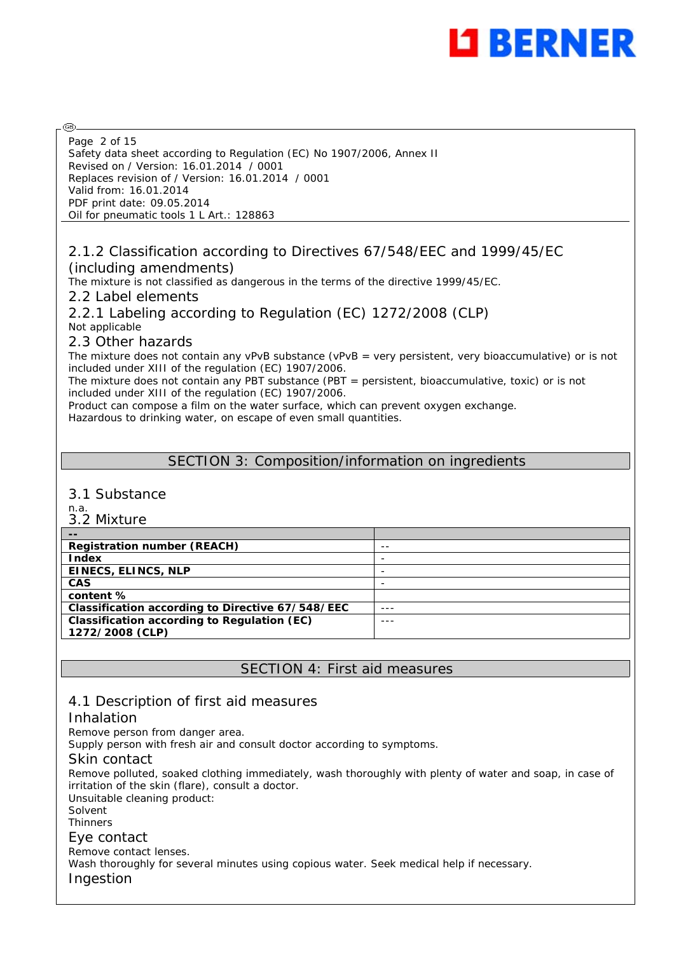

Safety data sheet according to Regulation (EC) No 1907/2006, Annex II Revised on / Version: 16.01.2014 / 0001 Replaces revision of / Version: 16.01.2014 / 0001 Valid from: 16.01.2014 PDF print date: 09.05.2014 Oil for pneumatic tools 1 L Art.: 128863 Page 2 of 15

## 2.1.2 Classification according to Directives 67/548/EEC and 1999/45/EC (including amendments)

The mixture is not classified as dangerous in the terms of the directive 1999/45/EC.

2.2 Label elements

2.2.1 Labeling according to Regulation (EC) 1272/2008 (CLP) Not applicable

## 2.3 Other hazards

The mixture does not contain any vPvB substance (vPvB = very persistent, very bioaccumulative) or is not included under XIII of the regulation (EC) 1907/2006.

The mixture does not contain any PBT substance (PBT = persistent, bioaccumulative, toxic) or is not included under XIII of the regulation (EC) 1907/2006.

Product can compose a film on the water surface, which can prevent oxygen exchange.

Hazardous to drinking water, on escape of even small quantities.

## SECTION 3: Composition/information on ingredients

## 3.1 Substance

n.a.

@

| 3.2 Mixture                                        |         |
|----------------------------------------------------|---------|
| $- -$                                              |         |
| <b>Registration number (REACH)</b>                 | $- -$   |
| Index                                              |         |
| EINECS, ELINCS, NLP                                | -       |
| <b>CAS</b>                                         |         |
| content%                                           |         |
| Classification according to Directive 67/548/EEC   | $- - -$ |
| <b>Classification according to Regulation (EC)</b> | ---     |
| 1272/2008 (CLP)                                    |         |

## SECTION 4: First aid measures

# 4.1 Description of first aid measures

## Inhalation

Remove person from danger area.

Supply person with fresh air and consult doctor according to symptoms.

#### Skin contact

Remove polluted, soaked clothing immediately, wash thoroughly with plenty of water and soap, in case of irritation of the skin (flare), consult a doctor. Unsuitable cleaning product:

Solvent

**Thinners** 

#### Eye contact

Remove contact lenses.

Wash thoroughly for several minutes using copious water. Seek medical help if necessary.

Ingestion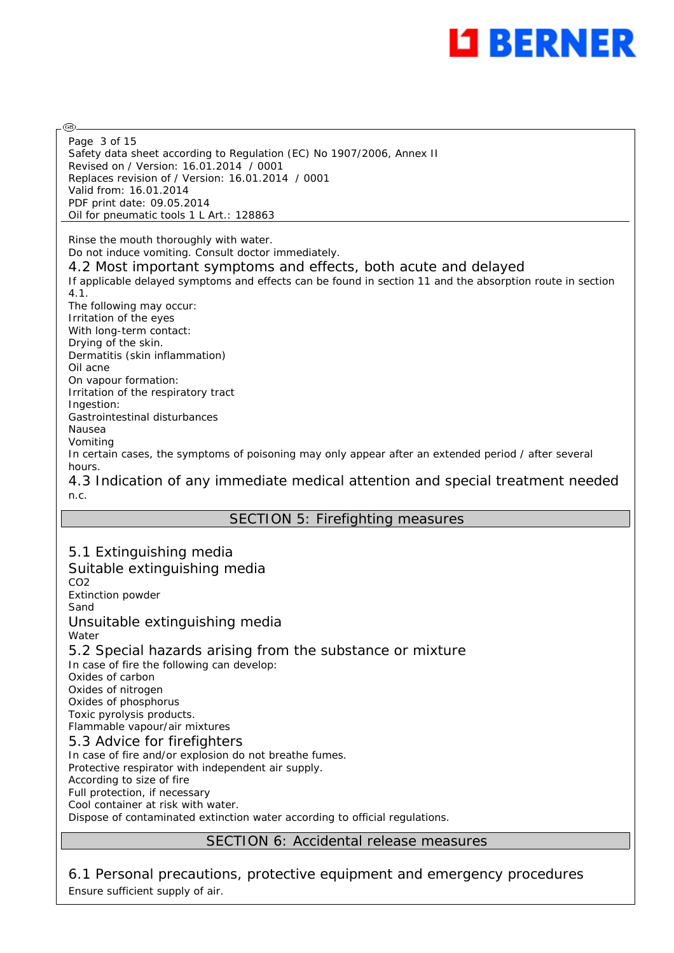

Safety data sheet according to Regulation (EC) No 1907/2006, Annex II Revised on / Version: 16.01.2014 / 0001 Replaces revision of / Version: 16.01.2014 / 0001 Valid from: 16.01.2014 PDF print date: 09.05.2014 Oil for pneumatic tools 1 L Art.: 128863 Page 3 of 15

Rinse the mouth thoroughly with water.

@

Do not induce vomiting. Consult doctor immediately.

4.2 Most important symptoms and effects, both acute and delayed

If applicable delayed symptoms and effects can be found in section 11 and the absorption route in section 4.1.

The following may occur: Irritation of the eyes With long-term contact: Drying of the skin. Dermatitis (skin inflammation) Oil acne On vapour formation: Irritation of the respiratory tract Ingestion: Gastrointestinal disturbances Nausea Vomiting In certain cases, the symptoms of poisoning may only appear after an extended period / after several hours.

4.3 Indication of any immediate medical attention and special treatment needed n.c.

# SECTION 5: Firefighting measures

5.1 Extinguishing media Suitable extinguishing media CO<sub>2</sub> Extinction powder Sand Unsuitable extinguishing media Water 5.2 Special hazards arising from the substance or mixture In case of fire the following can develop: Oxides of carbon Oxides of nitrogen Oxides of phosphorus Toxic pyrolysis products. Flammable vapour/air mixtures 5.3 Advice for firefighters In case of fire and/or explosion do not breathe fumes. Protective respirator with independent air supply. According to size of fire Full protection, if necessary Cool container at risk with water. Dispose of contaminated extinction water according to official regulations.

# SECTION 6: Accidental release measures

6.1 Personal precautions, protective equipment and emergency procedures Ensure sufficient supply of air.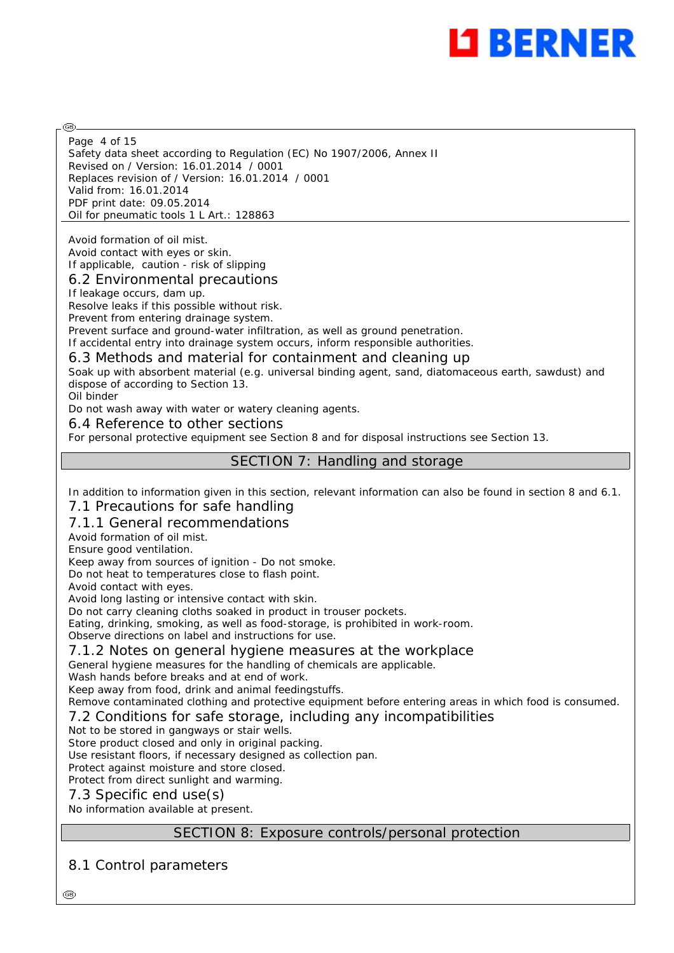

Safety data sheet according to Regulation (EC) No 1907/2006, Annex II Revised on / Version: 16.01.2014 / 0001 Replaces revision of / Version: 16.01.2014 / 0001 Valid from: 16.01.2014 PDF print date: 09.05.2014 Oil for pneumatic tools 1 L Art.: 128863 Page 4 of 15

Avoid formation of oil mist. Avoid contact with eyes or skin. If applicable, caution - risk of slipping

## 6.2 Environmental precautions

If leakage occurs, dam up.

Resolve leaks if this possible without risk.

Prevent from entering drainage system.

Prevent surface and ground-water infiltration, as well as ground penetration.

If accidental entry into drainage system occurs, inform responsible authorities.

6.3 Methods and material for containment and cleaning up

Soak up with absorbent material (e.g. universal binding agent, sand, diatomaceous earth, sawdust) and dispose of according to Section 13.

Oil binder

@

Do not wash away with water or watery cleaning agents.

#### 6.4 Reference to other sections

For personal protective equipment see Section 8 and for disposal instructions see Section 13.

## SECTION 7: Handling and storage

In addition to information given in this section, relevant information can also be found in section 8 and 6.1.

#### 7.1 Precautions for safe handling

#### 7.1.1 General recommendations

Avoid formation of oil mist.

Ensure good ventilation.

Keep away from sources of ignition - Do not smoke.

Do not heat to temperatures close to flash point.

Avoid contact with eyes.

Avoid long lasting or intensive contact with skin.

Do not carry cleaning cloths soaked in product in trouser pockets.

Eating, drinking, smoking, as well as food-storage, is prohibited in work-room.

Observe directions on label and instructions for use.

#### 7.1.2 Notes on general hygiene measures at the workplace

General hygiene measures for the handling of chemicals are applicable.

Wash hands before breaks and at end of work.

Keep away from food, drink and animal feedingstuffs.

Remove contaminated clothing and protective equipment before entering areas in which food is consumed. 7.2 Conditions for safe storage, including any incompatibilities

Not to be stored in gangways or stair wells.

Store product closed and only in original packing.

Use resistant floors, if necessary designed as collection pan.

Protect against moisture and store closed.

Protect from direct sunlight and warming.

#### 7.3 Specific end use(s)

No information available at present.

## SECTION 8: Exposure controls/personal protection

# 8.1 Control parameters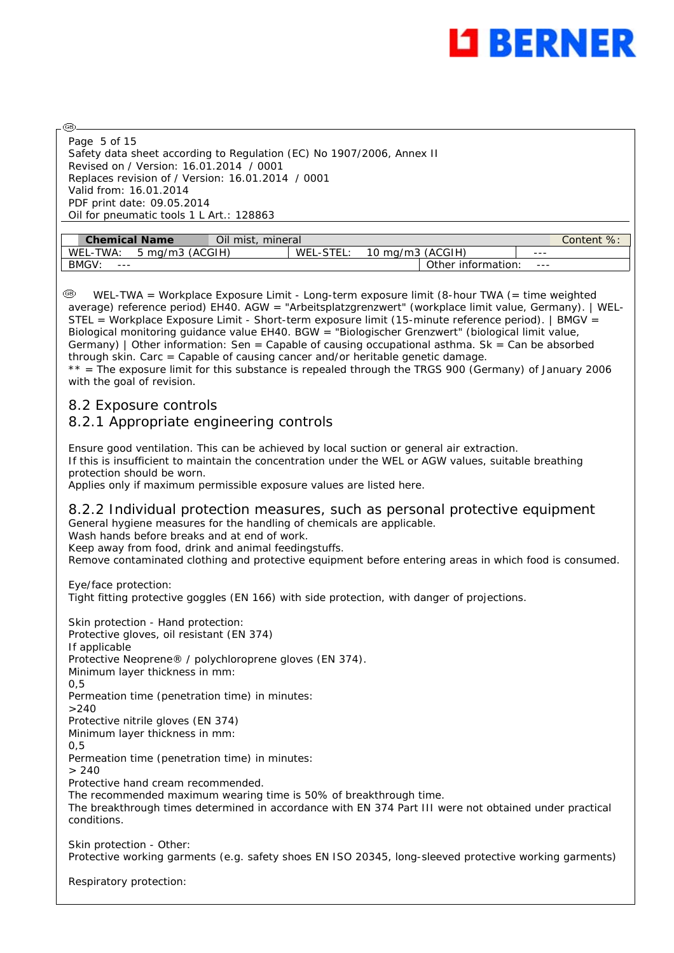

Safety data sheet according to Regulation (EC) No 1907/2006, Annex II Revised on / Version: 16.01.2014 / 0001 Replaces revision of / Version: 16.01.2014 / 0001 Valid from: 16.01.2014 PDF print date: 09.05.2014 Oil for pneumatic tools 1 L Art.: 128863 Page 5 of 15

| <b>Chemical Name</b>        | Oil mist. I<br>mineral |                       |               |                    |         | $\%$<br>Content |
|-----------------------------|------------------------|-----------------------|---------------|--------------------|---------|-----------------|
| 5 mg/m3 (ACGIH)<br>WEL-TWA: |                        | <b>LSTEI</b><br>WEL-S | ma/m3 (ACGIH) |                    | ---     |                 |
| <b>BMGV</b><br>$- - -$      |                        |                       |               | Other information: | $- - -$ |                 |

 WEL-TWA = Workplace Exposure Limit - Long-term exposure limit (8-hour TWA (= time weighted average) reference period) EH40. AGW = "Arbeitsplatzgrenzwert" (workplace limit value, Germany). | WEL-STEL = Workplace Exposure Limit - Short-term exposure limit (15-minute reference period). | BMGV = Biological monitoring guidance value EH40. BGW = "Biologischer Grenzwert" (biological limit value, Germany) | Other information: Sen = Capable of causing occupational asthma. Sk = Can be absorbed through skin. Carc = Capable of causing cancer and/or heritable genetic damage. \*\* = The exposure limit for this substance is repealed through the TRGS 900 (Germany) of January 2006 with the goal of revision.

## 8.2 Exposure controls

@

# 8.2.1 Appropriate engineering controls

Ensure good ventilation. This can be achieved by local suction or general air extraction. If this is insufficient to maintain the concentration under the WEL or AGW values, suitable breathing protection should be worn.

Applies only if maximum permissible exposure values are listed here.

#### 8.2.2 Individual protection measures, such as personal protective equipment General hygiene measures for the handling of chemicals are applicable.

Wash hands before breaks and at end of work.

Keep away from food, drink and animal feedingstuffs.

Remove contaminated clothing and protective equipment before entering areas in which food is consumed.

Eye/face protection: Tight fitting protective goggles (EN 166) with side protection, with danger of projections.

Skin protection - Hand protection: Protective gloves, oil resistant (EN 374) If applicable Protective Neoprene® / polychloroprene gloves (EN 374). Minimum layer thickness in mm:  $0.5$ Permeation time (penetration time) in minutes:  $>240$ Protective nitrile gloves (EN 374) Minimum layer thickness in mm: 0,5 Permeation time (penetration time) in minutes:  $> 240$ Protective hand cream recommended. The recommended maximum wearing time is 50% of breakthrough time. The breakthrough times determined in accordance with EN 374 Part III were not obtained under practical conditions. Skin protection - Other:

Protective working garments (e.g. safety shoes EN ISO 20345, long-sleeved protective working garments)

Respiratory protection: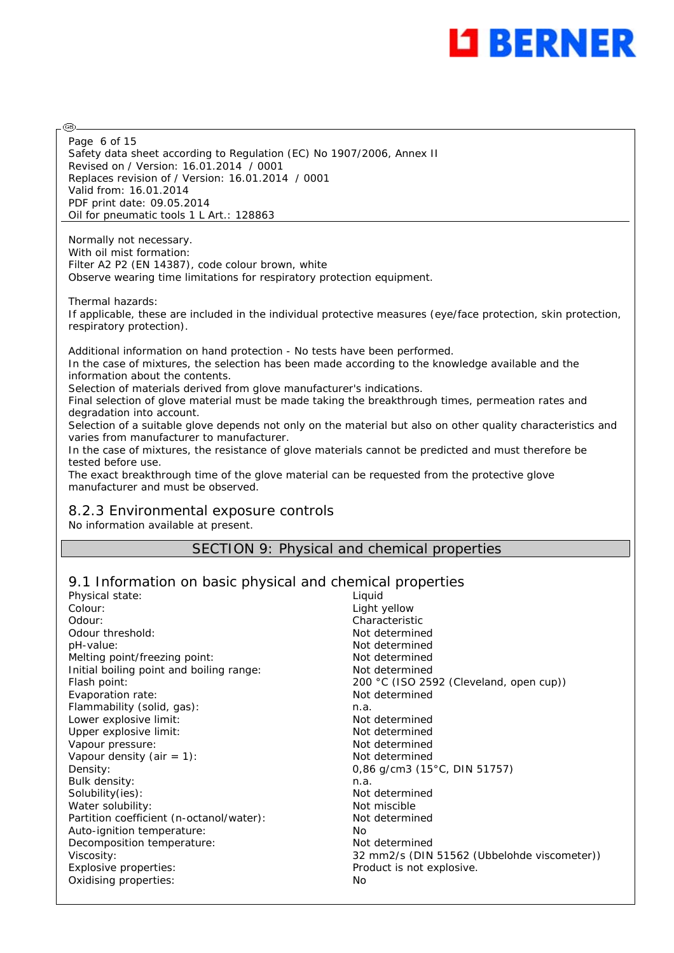

Safety data sheet according to Regulation (EC) No 1907/2006, Annex II Revised on / Version: 16.01.2014 / 0001 Replaces revision of / Version: 16.01.2014 / 0001 Valid from: 16.01.2014 PDF print date: 09.05.2014 Oil for pneumatic tools 1 L Art.: 128863 Page 6 of 15

Normally not necessary. With oil mist formation: Filter A2 P2 (EN 14387), code colour brown, white Observe wearing time limitations for respiratory protection equipment.

Thermal hazards: If applicable, these are included in the individual protective measures (eye/face protection, skin protection, respiratory protection).

Additional information on hand protection - No tests have been performed. In the case of mixtures, the selection has been made according to the knowledge available and the information about the contents.

Selection of materials derived from glove manufacturer's indications.

Final selection of glove material must be made taking the breakthrough times, permeation rates and degradation into account.

Selection of a suitable glove depends not only on the material but also on other quality characteristics and varies from manufacturer to manufacturer.

In the case of mixtures, the resistance of glove materials cannot be predicted and must therefore be tested before use.

The exact breakthrough time of the glove material can be requested from the protective glove manufacturer and must be observed.

## 8.2.3 Environmental exposure controls

No information available at present.

@

SECTION 9: Physical and chemical properties

# 9.1 Information on basic physical and chemical properties

| Physical state:                          | Liguid                                      |
|------------------------------------------|---------------------------------------------|
| Colour:                                  | Light yellow                                |
| Odour:                                   | Characteristic                              |
| Odour threshold:                         | Not determined                              |
| pH-value:                                | Not determined                              |
| Melting point/freezing point:            | Not determined                              |
| Initial boiling point and boiling range: | Not determined                              |
| Flash point:                             | 200 °C (ISO 2592 (Cleveland, open cup))     |
| Evaporation rate:                        | Not determined                              |
| Flammability (solid, gas):               | n.a.                                        |
| Lower explosive limit:                   | Not determined                              |
| Upper explosive limit:                   | Not determined                              |
| Vapour pressure:                         | Not determined                              |
| Vapour density (air = $1$ ):             | Not determined                              |
| Density:                                 | 0,86 g/cm3 (15°C, DIN 51757)                |
| Bulk density:                            | n.a.                                        |
| Solubility(ies):                         | Not determined                              |
| Water solubility:                        | Not miscible                                |
| Partition coefficient (n-octanol/water): | Not determined                              |
| Auto-ignition temperature:               | No.                                         |
| Decomposition temperature:               | Not determined                              |
| Viscosity:                               | 32 mm2/s (DIN 51562 (Ubbelohde viscometer)) |
| Explosive properties:                    | Product is not explosive.                   |
| Oxidising properties:                    | No                                          |
|                                          |                                             |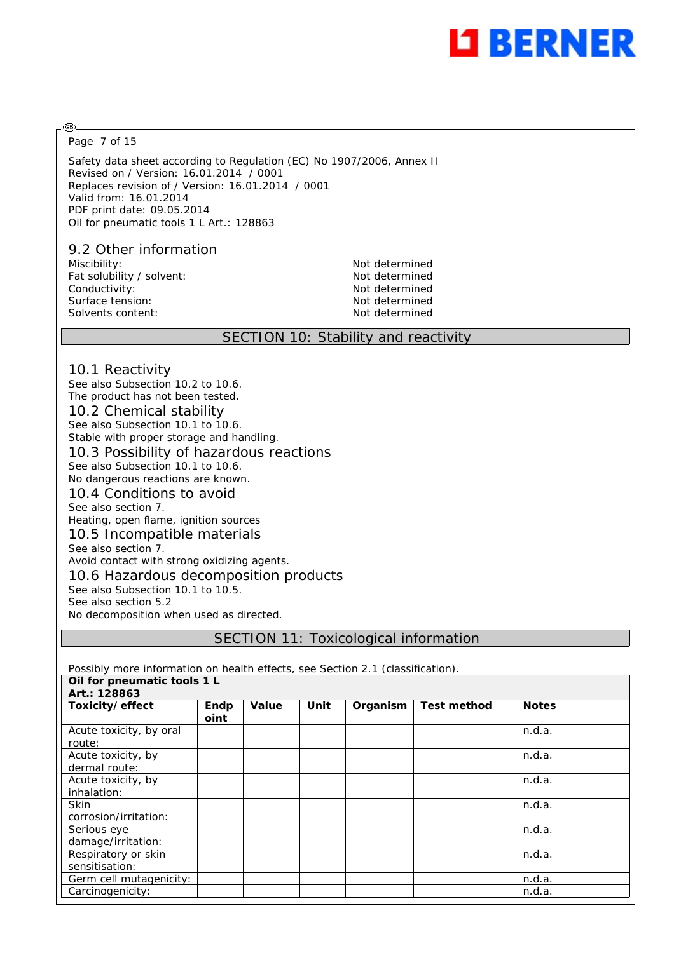

Page 7 of 15

അ

Safety data sheet according to Regulation (EC) No 1907/2006, Annex II Revised on / Version: 16.01.2014 / 0001 Replaces revision of / Version: 16.01.2014 / 0001 Valid from: 16.01.2014 PDF print date: 09.05.2014 Oil for pneumatic tools 1 L Art.: 128863

## 9.2 Other information

Miscibility: Not determined Fat solubility / solvent: Not determined Conductivity: Not determined Surface tension: Not determined Solvents content: Not determined

#### SECTION 10: Stability and reactivity

#### 10.1 Reactivity

See also Subsection 10.2 to 10.6. The product has not been tested. 10.2 Chemical stability See also Subsection 10.1 to 10.6. Stable with proper storage and handling. 10.3 Possibility of hazardous reactions See also Subsection 10.1 to 10.6. No dangerous reactions are known. 10.4 Conditions to avoid See also section 7. Heating, open flame, ignition sources 10.5 Incompatible materials See also section 7. Avoid contact with strong oxidizing agents. 10.6 Hazardous decomposition products See also Subsection 10.1 to 10.5.

See also section 5.2

No decomposition when used as directed.

SECTION 11: Toxicological information

Possibly more information on health effects, see Section 2.1 (classification).

| Oil for pneumatic tools 1 L           |              |       |      |          |                    |              |
|---------------------------------------|--------------|-------|------|----------|--------------------|--------------|
| Art.: 128863                          |              |       |      |          |                    |              |
| Toxicity/effect                       | Endp<br>oint | Value | Unit | Organism | <b>Test method</b> | <b>Notes</b> |
| Acute toxicity, by oral<br>route:     |              |       |      |          |                    | n.d.a.       |
| Acute toxicity, by<br>dermal route:   |              |       |      |          |                    | n.d.a.       |
| Acute toxicity, by<br>inhalation:     |              |       |      |          |                    | n.d.a.       |
| <b>Skin</b><br>corrosion/irritation:  |              |       |      |          |                    | n.d.a.       |
| Serious eye<br>damage/irritation:     |              |       |      |          |                    | n.d.a.       |
| Respiratory or skin<br>sensitisation: |              |       |      |          |                    | n.d.a.       |
| Germ cell mutagenicity:               |              |       |      |          |                    | n.d.a.       |
| Carcinogenicity:                      |              |       |      |          |                    | n.d.a.       |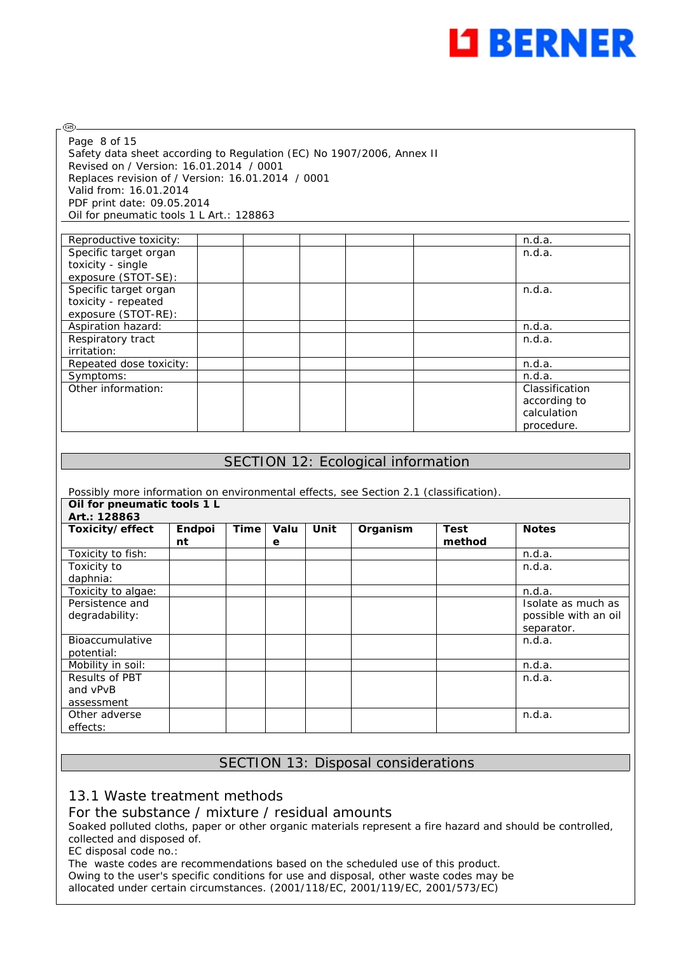

| Page 8 of 15                                                          |
|-----------------------------------------------------------------------|
| Safety data sheet according to Regulation (EC) No 1907/2006, Annex II |
| Revised on / Version: 16.01.2014 / 0001                               |
| Replaces revision of / Version: 16.01.2014 / 0001                     |
| Valid from: 16.01.2014                                                |
| PDF print date: 09.05.2014                                            |
| Oil for pneumatic tools 1 L Art.: 128863                              |

⊛

| Reproductive toxicity:  | n.d.a.         |
|-------------------------|----------------|
| Specific target organ   | n.d.a.         |
| toxicity - single       |                |
| exposure (STOT-SE):     |                |
| Specific target organ   | n.d.a.         |
| toxicity - repeated     |                |
| exposure (STOT-RE):     |                |
| Aspiration hazard:      | n.d.a.         |
| Respiratory tract       | n.d.a.         |
| irritation:             |                |
| Repeated dose toxicity: | n.d.a.         |
| Symptoms:               | n.d.a.         |
| Other information:      | Classification |
|                         | according to   |
|                         | calculation    |
|                         | procedure.     |

## SECTION 12: Ecological information

Possibly more information on environmental effects, see Section 2.1 (classification). **Oil for pneumatic tools 1 L** 

| On for pricuritatic tools i L<br>Art.: 128863 |              |      |           |      |          |                       |                      |
|-----------------------------------------------|--------------|------|-----------|------|----------|-----------------------|----------------------|
| Toxicity/effect                               | Endpoi<br>nt | Time | Valu<br>е | Unit | Organism | <b>Test</b><br>method | <b>Notes</b>         |
| Toxicity to fish:                             |              |      |           |      |          |                       | n.d.a.               |
| Toxicity to                                   |              |      |           |      |          |                       | n.d.a.               |
| daphnia:                                      |              |      |           |      |          |                       |                      |
| Toxicity to algae:                            |              |      |           |      |          |                       | n.d.a.               |
| Persistence and                               |              |      |           |      |          |                       | Isolate as much as   |
| degradability:                                |              |      |           |      |          |                       | possible with an oil |
|                                               |              |      |           |      |          |                       | separator.           |
| Bioaccumulative                               |              |      |           |      |          |                       | n.d.a.               |
| potential:                                    |              |      |           |      |          |                       |                      |
| Mobility in soil:                             |              |      |           |      |          |                       | n.d.a.               |
| <b>Results of PBT</b>                         |              |      |           |      |          |                       | n.d.a.               |
| and vPvB                                      |              |      |           |      |          |                       |                      |
| assessment                                    |              |      |           |      |          |                       |                      |
| Other adverse                                 |              |      |           |      |          |                       | n.d.a.               |
| effects:                                      |              |      |           |      |          |                       |                      |

# SECTION 13: Disposal considerations

## 13.1 Waste treatment methods

#### For the substance / mixture / residual amounts

Soaked polluted cloths, paper or other organic materials represent a fire hazard and should be controlled, collected and disposed of.

EC disposal code no.:

The waste codes are recommendations based on the scheduled use of this product. Owing to the user's specific conditions for use and disposal, other waste codes may be allocated under certain circumstances. (2001/118/EC, 2001/119/EC, 2001/573/EC)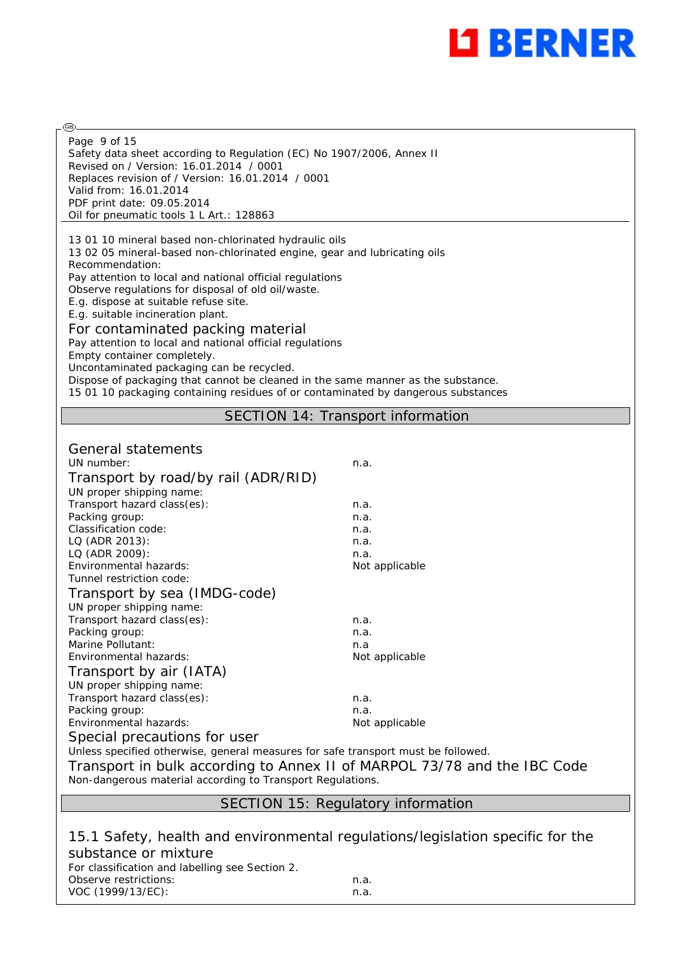

Safety data sheet according to Regulation (EC) No 1907/2006, Annex II Revised on / Version: 16.01.2014 / 0001 Replaces revision of / Version: 16.01.2014 / 0001 Valid from: 16.01.2014 PDF print date: 09.05.2014 Oil for pneumatic tools 1 L Art.: 128863 Page 9 of 15

@

13 01 10 mineral based non-chlorinated hydraulic oils 13 02 05 mineral-based non-chlorinated engine, gear and lubricating oils Recommendation: Pay attention to local and national official regulations Observe regulations for disposal of old oil/waste. E.g. dispose at suitable refuse site. E.g. suitable incineration plant. For contaminated packing material

#### Pay attention to local and national official regulations Empty container completely. Uncontaminated packaging can be recycled. Dispose of packaging that cannot be cleaned in the same manner as the substance. 15 01 10 packaging containing residues of or contaminated by dangerous substances

SECTION 14: Transport information

| General statements<br>UN number:<br>Transport by road/by rail (ADR/RID)<br>UN proper shipping name: | n.a.           |
|-----------------------------------------------------------------------------------------------------|----------------|
| Transport hazard class(es):                                                                         | n.a.           |
| Packing group:                                                                                      | n.a.           |
| Classification code:                                                                                | n.a.           |
| LQ (ADR 2013):                                                                                      | n.a.           |
| LQ (ADR 2009):                                                                                      | n.a.           |
| Environmental hazards:                                                                              | Not applicable |
| Tunnel restriction code:                                                                            |                |
| Transport by sea (IMDG-code)                                                                        |                |
| UN proper shipping name:                                                                            |                |
| Transport hazard class(es):                                                                         | n.a.           |
| Packing group:                                                                                      | n.a.           |
| Marine Pollutant:                                                                                   | n.a            |
| Environmental hazards:                                                                              | Not applicable |
| Transport by air (IATA)                                                                             |                |
| UN proper shipping name:                                                                            |                |
| Transport hazard class(es):                                                                         | n.a.           |
| Packing group:                                                                                      | n.a.           |
| <b>Fnvironmental hazards:</b>                                                                       | Not applicable |
| Special precautions for user                                                                        |                |
| Unless specified otherwise, general measures for safe transport must be followed.                   |                |

VOC (1999/13/EC): n.a.

Transport in bulk according to Annex II of MARPOL 73/78 and the IBC Code Non-dangerous material according to Transport Regulations.

#### SECTION 15: Regulatory information

15.1 Safety, health and environmental regulations/legislation specific for the substance or mixture For classification and labelling see Section 2. Observe restrictions: n.a.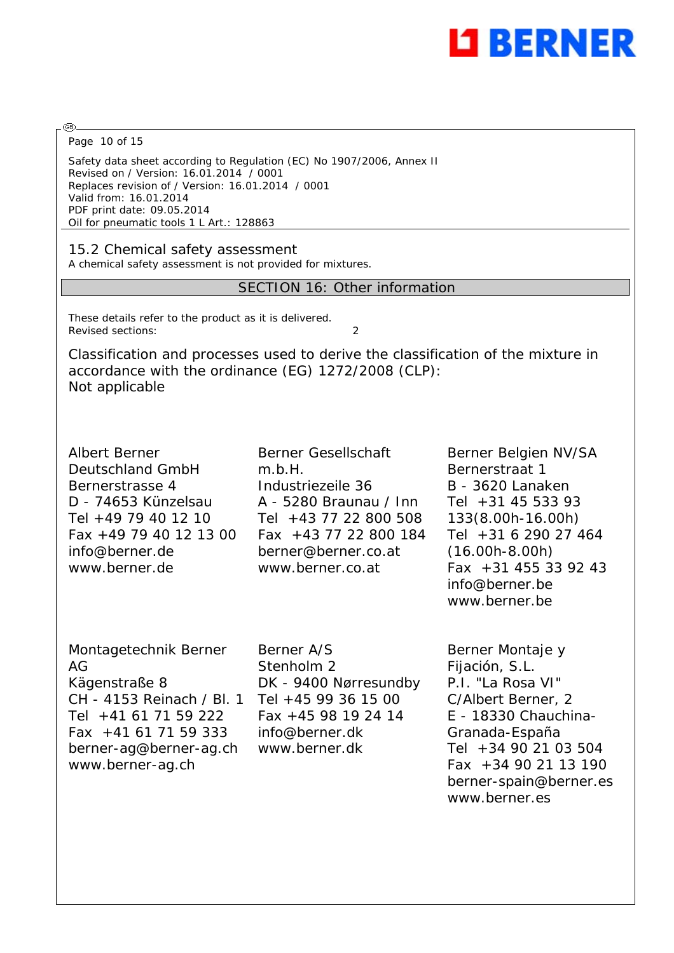

Page 10 of 15

Safety data sheet according to Regulation (EC) No 1907/2006, Annex II Revised on / Version: 16.01.2014 / 0001 Replaces revision of / Version: 16.01.2014 / 0001 Valid from: 16.01.2014 PDF print date: 09.05.2014 Oil for pneumatic tools 1 L Art.: 128863

15.2 Chemical safety assessment

A chemical safety assessment is not provided for mixtures.

## SECTION 16: Other information

These details refer to the product as it is delivered. Revised sections: 2

Classification and processes used to derive the classification of the mixture in accordance with the ordinance (EG) 1272/2008 (CLP): Not applicable

Albert Berner Deutschland GmbH Bernerstrasse 4 D - 74653 Künzelsau Tel +49 79 40 12 10 Fax +49 79 40 12 13 00 info@berner.de www.berner.de

Berner Gesellschaft m.b.H. Industriezeile 36 A - 5280 Braunau / Inn Tel +43 77 22 800 508 Fax +43 77 22 800 184 berner@berner.co.at www.berner.co.at

Berner Belgien NV/SA Bernerstraat 1 B - 3620 Lanaken Tel +31 45 533 93 133(8.00h-16.00h) Tel +31 6 290 27 464 (16.00h-8.00h) Fax +31 455 33 92 43 info@berner.be www.berner.be

Montagetechnik Berner AG Kägenstraße 8 CH - 4153 Reinach / Bl. 1 Tel +41 61 71 59 222 Fax +41 61 71 59 333 berner-ag@berner-ag.ch www.berner-ag.ch

Berner A/S Stenholm 2 DK - 9400 Nørresundby Tel +45 99 36 15 00 Fax +45 98 19 24 14 info@berner.dk www.berner.dk

Berner Montaje y Fijación, S.L. P.I. "La Rosa VI" C/Albert Berner, 2 E - 18330 Chauchina-Granada-España Tel +34 90 21 03 504 Fax +34 90 21 13 190 berner-spain@berner.es www.berner.es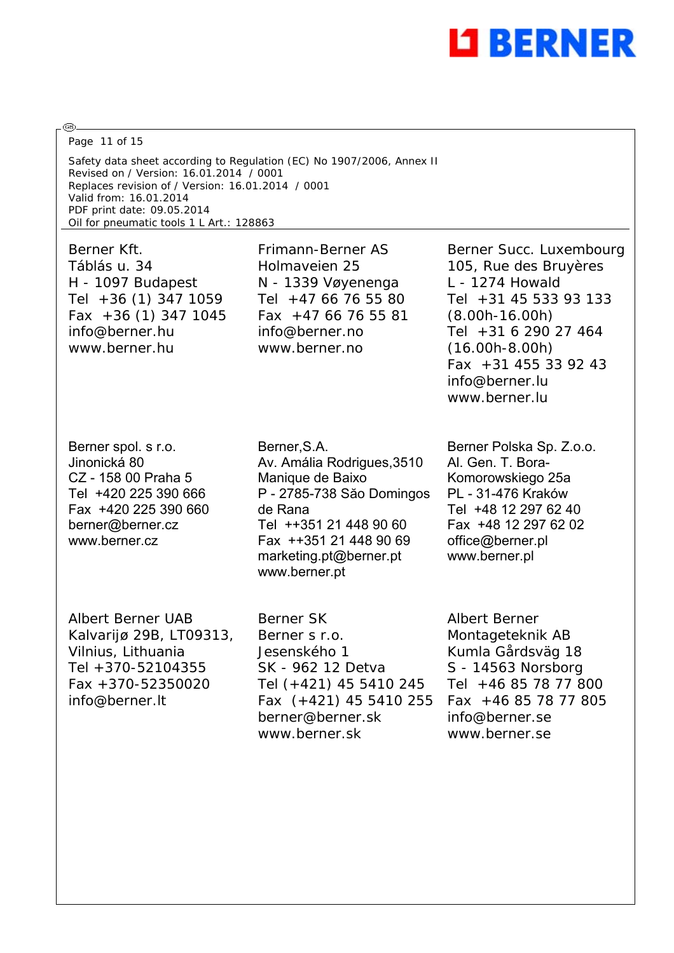

Page 11 of 15

Safety data sheet according to Regulation (EC) No 1907/2006, Annex II Revised on / Version: 16.01.2014 / 0001 Replaces revision of / Version: 16.01.2014 / 0001 Valid from: 16.01.2014 PDF print date: 09.05.2014 Oil for pneumatic tools 1 L Art.: 128863

Berner Kft. Táblás u. 34 H - 1097 Budapest Tel +36 (1) 347 1059 Fax +36 (1) 347 1045 info@berner.hu www.berner.hu

Frimann-Berner AS Holmaveien 25 N - 1339 Vøyenenga Tel +47 66 76 55 80 Fax +47 66 76 55 81 info@berner.no www.berner.no

Berner spol. s r.o. Jinonická 80 CZ - 158 00 Praha 5 Tel +420 225 390 666 Fax +420 225 390 660 berner@berner.cz www.berner.cz

Berner,S.A. Av. Amália Rodrigues,3510 Manique de Baixo P - 2785-738 Săo Domingos de Rana Tel ++351 21 448 90 60 Fax ++351 21 448 90 69 marketing.pt@berner.pt www.berner.pt

Albert Berner UAB Kalvarijø 29B, LT09313, Vilnius, Lithuania Tel +370-52104355 Fax +370-52350020 info@berner.lt

Berner SK Berner s r.o. Jesenského 1 SK - 962 12 Detva Tel (+421) 45 5410 245 Fax (+421) 45 5410 255 berner@berner.sk www.berner.sk

Berner Succ. Luxembourg 105, Rue des Bruyères L - 1274 Howald Tel +31 45 533 93 133 (8.00h-16.00h) Tel +31 6 290 27 464 (16.00h-8.00h) Fax +31 455 33 92 43 info@berner.lu www.berner.lu

Berner Polska Sp. Z.o.o. Al. Gen. T. Bora-Komorowskiego 25a PL - 31-476 Kraków Tel +48 12 297 62 40 Fax +48 12 297 62 02 office@berner.pl www.berner.pl

Albert Berner Montageteknik AB Kumla Gårdsväg 18 S - 14563 Norsborg Tel +46 85 78 77 800 Fax +46 85 78 77 805 info@berner.se www.berner.se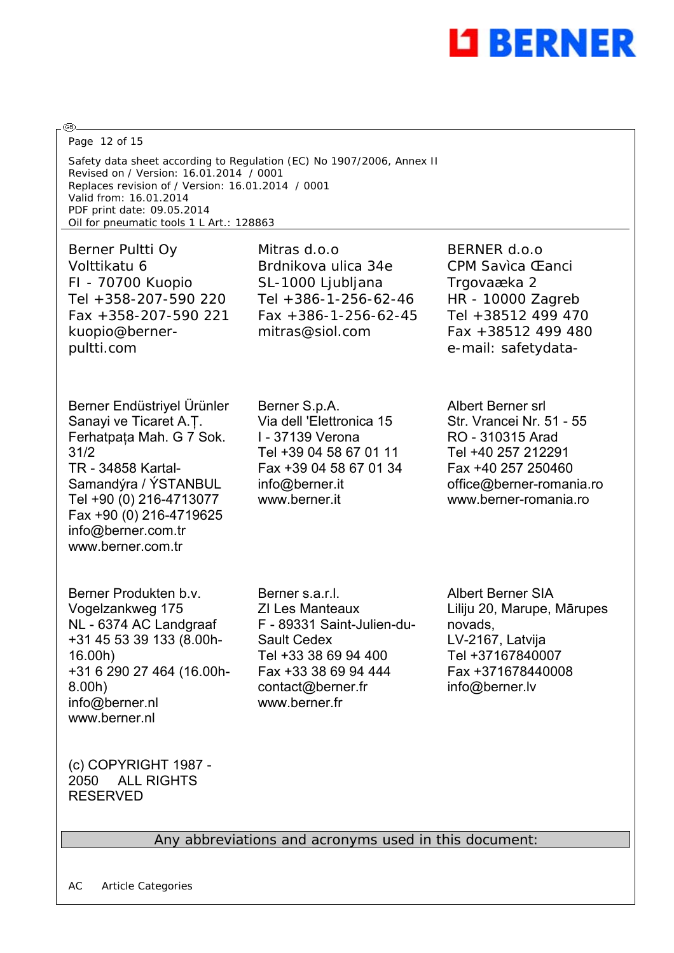

Page 12 of 15

Safety data sheet according to Regulation (EC) No 1907/2006, Annex II Revised on / Version: 16.01.2014 / 0001 Replaces revision of / Version: 16.01.2014 / 0001 Valid from: 16.01.2014 PDF print date: 09.05.2014 Oil for pneumatic tools 1 L Art.: 128863

Berner Pultti Oy Volttikatu 6 FI - 70700 Kuopio Tel +358-207-590 220 Fax +358-207-590 221 kuopio@bernerpultti.com

Berner Endüstriyel Ürünler Sanayi ve Ticaret A.Ţ. Ferhatpaţa Mah. G 7 Sok. 31/2 TR - 34858 Kartal-Samandýra / ÝSTANBUL Tel +90 (0) 216-4713077 Fax +90 (0) 216-4719625 info@berner.com.tr www.berner.com.tr

Berner Produkten b.v. Vogelzankweg 175 NL - 6374 AC Landgraaf +31 45 53 39 133 (8.00h-16.00h) +31 6 290 27 464 (16.00h-8.00h) info@berner.nl www.berner.nl

Mitras d.o.o Brdnikova ulica 34e SL-1000 Ljubljana Tel +386-1-256-62-46 Fax +386-1-256-62-45 mitras@siol.com

Berner S.p.A. Via dell 'Elettronica 15 I - 37139 Verona Tel +39 04 58 67 01 11 Fax +39 04 58 67 01 34 info@berner.it www.berner.it

BERNER d.o.o CPM Savìca Œanci Trgovaæka 2 HR - 10000 Zagreb Tel +38512 499 470 Fax +38512 499 480 e-mail: safetydata-

Albert Berner srl Str. Vrancei Nr. 51 - 55 RO - 310315 Arad Tel +40 257 212291 Fax +40 257 250460 office@berner-romania.ro www.berner-romania.ro

Berner s.a.r.l. ZI Les Manteaux F - 89331 Saint-Julien-du-Sault Cedex Tel +33 38 69 94 400 Fax +33 38 69 94 444 contact@berner.fr www.berner.fr

Albert Berner SIA Liliju 20, Marupe, Mārupes novads, LV-2167, Latvija Tel +37167840007 Fax +371678440008 info@berner.lv

(c) COPYRIGHT 1987 - 2050 ALL RIGHTS RESERVED

## Any abbreviations and acronyms used in this document: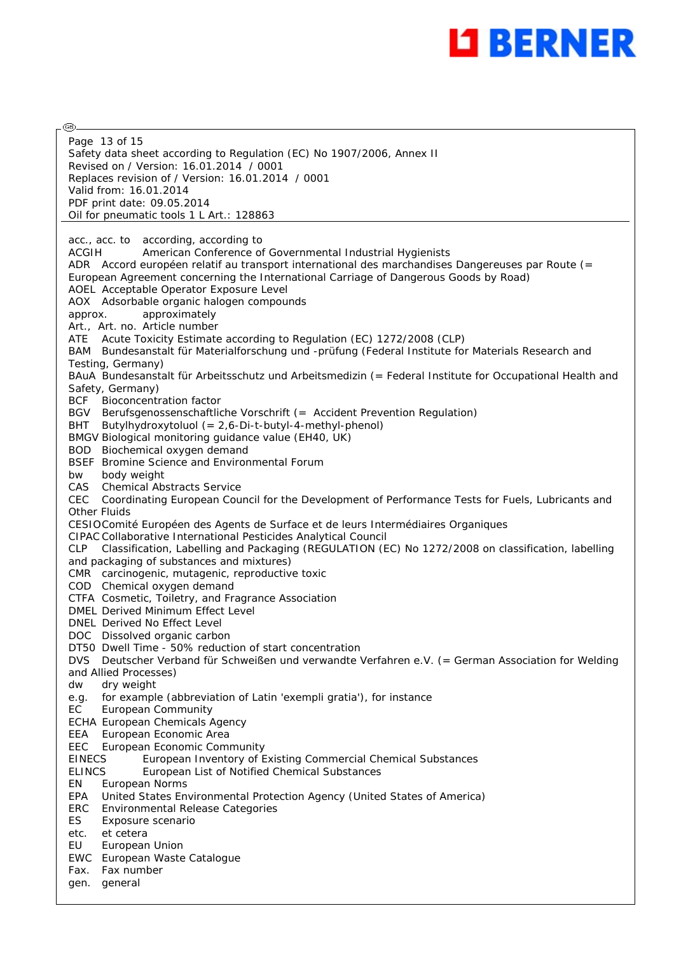

@ Page 13 of 15Safety data sheet according to Regulation (EC) No 1907/2006, Annex II Revised on / Version: 16.01.2014 / 0001 Replaces revision of / Version: 16.01.2014 / 0001 Valid from: 16.01.2014 PDF print date: 09.05.2014 Oil for pneumatic tools 1 L Art.: 128863 acc., acc. to according, according to ACGIH American Conference of Governmental Industrial Hygienists ADR Accord européen relatif au transport international des marchandises Dangereuses par Route (= European Agreement concerning the International Carriage of Dangerous Goods by Road) AOEL Acceptable Operator Exposure Level AOX Adsorbable organic halogen compounds approx. approximately Art., Art. no. Article number ATE Acute Toxicity Estimate according to Regulation (EC) 1272/2008 (CLP) BAM Bundesanstalt für Materialforschung und -prüfung (Federal Institute for Materials Research and Testing, Germany) BAuA Bundesanstalt für Arbeitsschutz und Arbeitsmedizin (= Federal Institute for Occupational Health and Safety, Germany) BCF Bioconcentration factor BGV Berufsgenossenschaftliche Vorschrift (= Accident Prevention Regulation) BHT Butylhydroxytoluol (= 2,6-Di-t-butyl-4-methyl-phenol) BMGV Biological monitoring guidance value (EH40, UK) BOD Biochemical oxygen demand BSEF Bromine Science and Environmental Forum bw body weight CAS Chemical Abstracts Service CEC Coordinating European Council for the Development of Performance Tests for Fuels, Lubricants and Other Fluids CESIOComité Européen des Agents de Surface et de leurs Intermédiaires Organiques CIPAC Collaborative International Pesticides Analytical Council CLP Classification, Labelling and Packaging (REGULATION (EC) No 1272/2008 on classification, labelling and packaging of substances and mixtures) CMR carcinogenic, mutagenic, reproductive toxic COD Chemical oxygen demand CTFA Cosmetic, Toiletry, and Fragrance Association DMEL Derived Minimum Effect Level DNEL Derived No Effect Level DOC Dissolved organic carbon DT50 Dwell Time - 50% reduction of start concentration DVS Deutscher Verband für Schweißen und verwandte Verfahren e.V. (= German Association for Welding and Allied Processes) dw dry weight e.g. for example (abbreviation of Latin 'exempli gratia'), for instance EC European Community ECHA European Chemicals Agency EEA European Economic Area EEC European Economic Community EINECS European Inventory of Existing Commercial Chemical Substances ELINCS European List of Notified Chemical Substances EN European Norms EPA United States Environmental Protection Agency (United States of America) ERC Environmental Release Categories ES Exposure scenario etc. et cetera EU European Union EWC European Waste Catalogue Fax. Fax number gen. general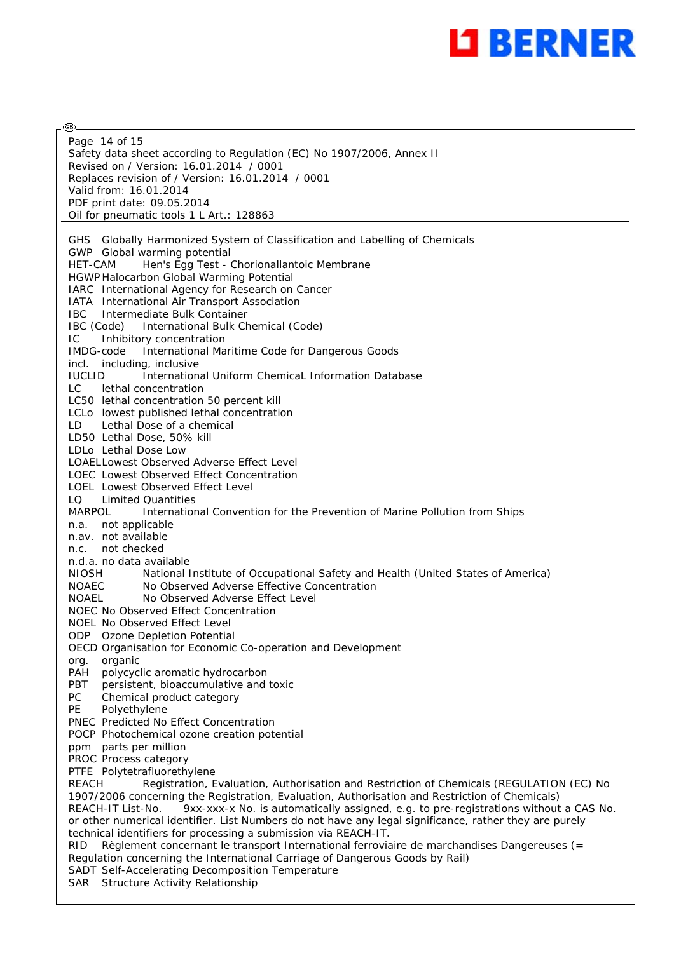

@ Page 14 of 15Safety data sheet according to Regulation (EC) No 1907/2006, Annex II Revised on / Version: 16.01.2014 / 0001 Replaces revision of / Version: 16.01.2014 / 0001 Valid from: 16.01.2014 PDF print date: 09.05.2014 Oil for pneumatic tools 1 L Art.: 128863 GHS Globally Harmonized System of Classification and Labelling of Chemicals GWP Global warming potential HET-CAM Hen's Egg Test - Chorionallantoic Membrane HGWP Halocarbon Global Warming Potential IARC International Agency for Research on Cancer IATA International Air Transport Association IBC Intermediate Bulk Container IBC (Code) International Bulk Chemical (Code) IC Inhibitory concentration IMDG-code International Maritime Code for Dangerous Goods incl. including, inclusive IUCLID International Uniform ChemicaL Information Database LC lethal concentration LC50 lethal concentration 50 percent kill LCLo lowest published lethal concentration LD Lethal Dose of a chemical LD50 Lethal Dose, 50% kill LDLo Lethal Dose Low LOAELLowest Observed Adverse Effect Level LOEC Lowest Observed Effect Concentration LOEL Lowest Observed Effect Level LQ Limited Quantities MARPOL International Convention for the Prevention of Marine Pollution from Ships n.a. not applicable n.av. not available n.c. not checked n.d.a. no data available NIOSH National Institute of Occupational Safety and Health (United States of America) NOAEC No Observed Adverse Effective Concentration NOAEL No Observed Adverse Effect Level NOEC No Observed Effect Concentration NOEL No Observed Effect Level ODP Ozone Depletion Potential OECD Organisation for Economic Co-operation and Development org. organic PAH polycyclic aromatic hydrocarbon PBT persistent, bioaccumulative and toxic PC Chemical product category PE Polyethylene PNEC Predicted No Effect Concentration POCP Photochemical ozone creation potential ppm parts per million PROC Process category PTFE Polytetrafluorethylene REACH Registration, Evaluation, Authorisation and Restriction of Chemicals (REGULATION (EC) No 1907/2006 concerning the Registration, Evaluation, Authorisation and Restriction of Chemicals) REACH-IT List-No. 9xx-xxx-x No. is automatically assigned, e.g. to pre-registrations without a CAS No. or other numerical identifier. List Numbers do not have any legal significance, rather they are purely technical identifiers for processing a submission via REACH-IT. RID Règlement concernant le transport International ferroviaire de marchandises Dangereuses (= Regulation concerning the International Carriage of Dangerous Goods by Rail) SADT Self-Accelerating Decomposition Temperature SAR Structure Activity Relationship